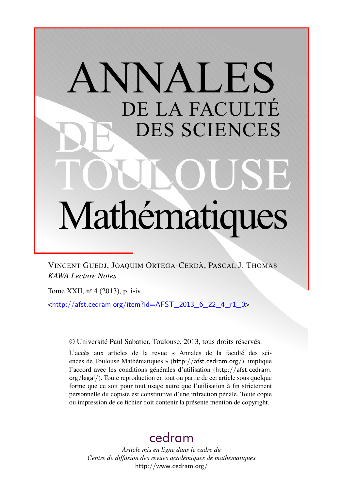# ANNALES DE LA FACULTÉ DES SCIENCES Mathématiques

VINCENT GUEDJ, JOAQUIM ORTEGA-CERDÀ, PASCAL J. THOMAS *KAWA Lecture Notes*

Tome XXII, n<sup>o</sup> 4 (2013), p. i-iv.

 $\frac{\text{th}}{\text{t}}/$ /afst.cedram.org/item?id=AFST\_2013\_6\_22\_4\_r1\_0>

© Université Paul Sabatier, Toulouse, 2013, tous droits réservés.

L'accès aux articles de la revue « Annales de la faculté des sciences de Toulouse Mathématiques » (<http://afst.cedram.org/>), implique l'accord avec les conditions générales d'utilisation ([http://afst.cedram.](http://afst.cedram.org/legal/) [org/legal/](http://afst.cedram.org/legal/)). Toute reproduction en tout ou partie de cet article sous quelque forme que ce soit pour tout usage autre que l'utilisation à fin strictement personnelle du copiste est constitutive d'une infraction pénale. Toute copie ou impression de ce fichier doit contenir la présente mention de copyright.

# [cedram](http://www.cedram.org/)

*Article mis en ligne dans le cadre du Centre de diffusion des revues académiques de mathématiques* <http://www.cedram.org/>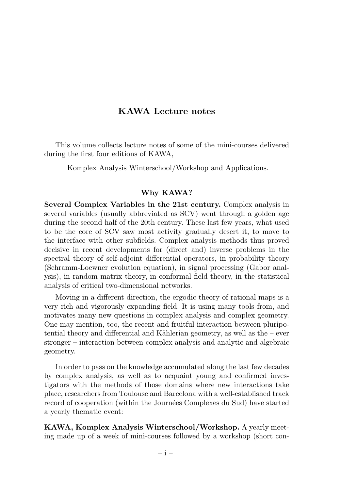# KAWA Lecture notes

This volume collects lecture notes of some of the mini-courses delivered during the first four editions of KAWA,

Komplex Analysis Winterschool/Workshop and Applications.

### Why KAWA?

Several Complex Variables in the 21st century. Complex analysis in several variables (usually abbreviated as SCV) went through a golden age during the second half of the 20th century. These last few years, what used to be the core of SCV saw most activity gradually desert it, to move to the interface with other subfields. Complex analysis methods thus proved decisive in recent developments for (direct and) inverse problems in the spectral theory of self-adjoint differential operators, in probability theory (Schramm-Loewner evolution equation), in signal processing (Gabor analysis), in random matrix theory, in conformal field theory, in the statistical analysis of critical two-dimensional networks.

Moving in a different direction, the ergodic theory of rational maps is a very rich and vigorously expanding field. It is using many tools from, and motivates many new questions in complex analysis and complex geometry. One may mention, too, the recent and fruitful interaction between pluripotential theory and differential and Kählerian geometry, as well as the – ever stronger – interaction between complex analysis and analytic and algebraic geometry.

In order to pass on the knowledge accumulated along the last few decades by complex analysis, as well as to acquaint young and confirmed investigators with the methods of those domains where new interactions take place, researchers from Toulouse and Barcelona with a well-established track record of cooperation (within the Journées Complexes du Sud) have started a yearly thematic event:

KAWA, Komplex Analysis Winterschool/Workshop. A yearly meeting made up of a week of mini-courses followed by a workshop (short con-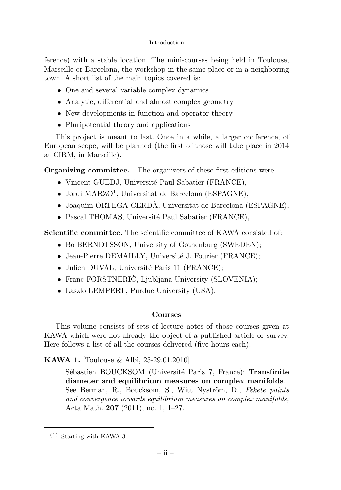### Introduction

ference) with a stable location. The mini-courses being held in Toulouse, Marseille or Barcelona, the workshop in the same place or in a neighboring town. A short list of the main topics covered is:

- One and several variable complex dynamics
- Analytic, differential and almost complex geometry
- New developments in function and operator theory
- Pluripotential theory and applications

This project is meant to last. Once in a while, a larger conference, of European scope, will be planned (the first of those will take place in 2014 at CIRM, in Marseille).

**Organizing committee.** The organizers of these first editions were

- Vincent GUEDJ, Université Paul Sabatier (FRANCE),
- Jordi MARZO<sup>1</sup>, Universitat de Barcelona (ESPAGNE),
- Joaquim ORTEGA-CERDÀ, Universitat de Barcelona (ESPAGNE),
- Pascal THOMAS, Université Paul Sabatier (FRANCE),

Scientific committee. The scientific committee of KAWA consisted of:

- Bo BERNDTSSON, University of Gothenburg (SWEDEN);
- Jean-Pierre DEMAILLY, Université J. Fourier (FRANCE);
- Julien DUVAL, Université Paris 11 (FRANCE);
- Franc FORSTNERIC, Ljubljana University (SLOVENIA);
- Laszlo LEMPERT, Purdue University (USA).

# Courses

This volume consists of sets of lecture notes of those courses given at KAWA which were not already the object of a published article or survey. Here follows a list of all the courses delivered (five hours each):

# KAWA 1. [Toulouse & Albi, 25-29.01.2010]

1. Sébastien BOUCKSOM (Université Paris 7, France): Transfinite diameter and equilibrium measures on complex manifolds. See Berman, R., Boucksom, S., Witt Nyström, D., Fekete points and convergence towards equilibrium measures on complex manifolds, Acta Math. 207 (2011), no. 1, 1–27.

<sup>(1)</sup> Starting with KAWA 3.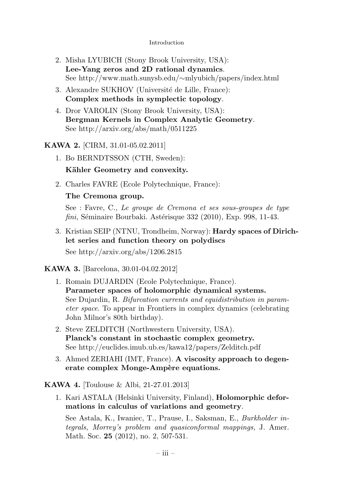### Introduction

- 2. Misha LYUBICH (Stony Brook University, USA): Lee-Yang zeros and 2D rational dynamics. See http://www.math.sunysb.edu/∼mlyubich/papers/index.html
- 3. Alexandre SUKHOV (Université de Lille, France): Complex methods in symplectic topology.
- 4. Dror VAROLIN (Stony Brook University, USA): Bergman Kernels in Complex Analytic Geometry. See http://arxiv.org/abs/math/0511225

# KAWA 2. [CIRM, 31.01-05.02.2011]

- 1. Bo BERNDTSSON (CTH, Sweden): Kähler Geometry and convexity.
- 2. Charles FAVRE (Ecole Polytechnique, France):

# The Cremona group.

See : Favre, C., Le groupe de Cremona et ses sous-groupes de type  $fini$ , Séminaire Bourbaki. Astérisque 332 (2010), Exp. 998, 11-43.

3. Kristian SEIP (NTNU, Trondheim, Norway): Hardy spaces of Dirichlet series and function theory on polydiscs See http://arxiv.org/abs/1206.2815

KAWA 3. [Barcelona, 30.01-04.02.2012]

- 1. Romain DUJARDIN (Ecole Polytechnique, France). Parameter spaces of holomorphic dynamical systems. See Dujardin, R. Bifurcation currents and equidistribution in parameter space. To appear in Frontiers in complex dynamics (celebrating John Milnor's 80th birthday).
- 2. Steve ZELDITCH (Northwestern University, USA). Planck's constant in stochastic complex geometry. See http://euclides.imub.ub.es/kawa12/papers/Zelditch.pdf
- 3. Ahmed ZERIAHI (IMT, France). A viscosity approach to degenerate complex Monge-Ampère equations.

KAWA 4. [Toulouse & Albi, 21-27.01.2013]

1. Kari ASTALA (Helsinki University, Finland), Holomorphic deformations in calculus of variations and geometry.

See Astala, K., Iwaniec, T., Prause, I., Saksman, E., Burkholder integrals, Morrey's problem and quasiconformal mappings, J. Amer. Math. Soc. **25** (2012), no. 2, 507-531.